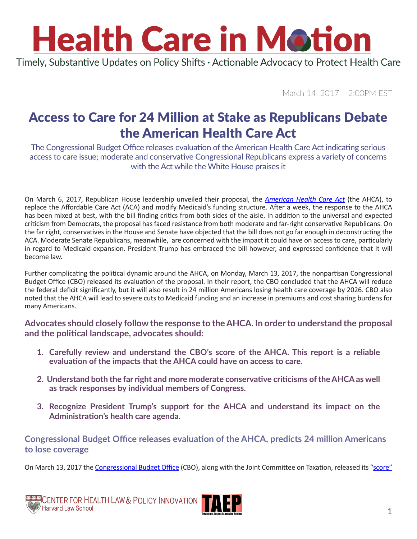Timely, Substantive Updates on Policy Shifts · Actionable Advocacy to Protect Health Care

March 14, 2017 2:00PM EST

## Access to Care for 24 Million at Stake as Republicans Debate the American Health Care Act

The Congressional Budget Office releases evaluation of the American Health Care Act indicating serious access to care issue; moderate and conservative Congressional Republicans express a variety of concerns with the Act while the White House praises it

On March 6, 2017, Republican House leadership unveiled their proposal, the *[American Health Care Act](http://www.speaker.gov/HealthCare)* (the AHCA), to replace the Affordable Care Act (ACA) and modify Medicaid's funding structure. After a week, the response to the AHCA has been mixed at best, with the bill finding critics from both sides of the aisle. In addition to the universal and expected criticism from Democrats, the proposal has faced resistance from both moderate and far-right conservative Republicans. On the far right, conservatives in the House and Senate have objected that the bill does not go far enough in deconstructing the ACA. Moderate Senate Republicans, meanwhile, are concerned with the impact it could have on access to care, particularly in regard to Medicaid expansion. President Trump has embraced the bill however, and expressed confidence that it will become law.

Further complicating the political dynamic around the AHCA, on Monday, March 13, 2017, the nonpartisan Congressional Budget Office (CBO) released its evaluation of the proposal. In their report, the CBO concluded that the AHCA will reduce the federal deficit significantly, but it will also result in 24 million Americans losing health care coverage by 2026. CBO also noted that the AHCA will lead to severe cuts to Medicaid funding and an increase in premiums and cost sharing burdens for many Americans.

**Advocates should closely follow the response to the AHCA. In order to understand the proposal and the political landscape, advocates should:** 

- **1. Carefully review and understand the CBO's score of the AHCA. This report is a reliable evaluation of the impacts that the AHCA could have on access to care.**
- **2. Understand both the far right and more moderate conservative criticisms of the AHCA as well as track responses by individual members of Congress.**
- **3. Recognize President Trump's support for the AHCA and understand its impact on the Administration's health care agenda.**

### **Congressional Budget Office releases evaluation of the AHCA, predicts 24 million Americans to lose coverage**

On March 13, 2017 the [Congressional Budget Office](https://www.cbo.gov) (CBO), along with the Joint Committee on Taxation, released its "[score"](https://www.cbo.gov/sites/default/files/115th-congress-2017-2018/costestimate/americanhealthcareact_0.pdf)

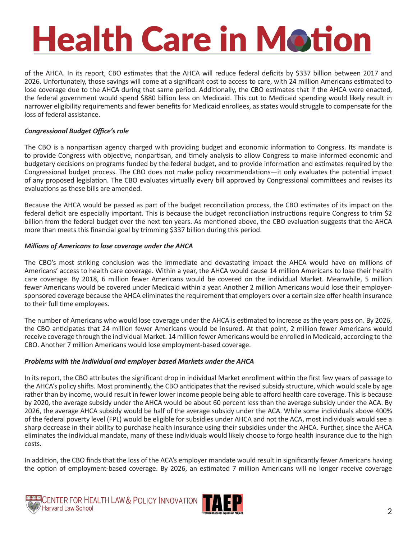of the AHCA. In its report, CBO estimates that the AHCA will reduce federal deficits by \$337 billion between 2017 and 2026. Unfortunately, those savings will come at a significant cost to access to care, with 24 million Americans estimated to lose coverage due to the AHCA during that same period. Additionally, the CBO estimates that if the AHCA were enacted, the federal government would spend \$880 billion less on Medicaid. This cut to Medicaid spending would likely result in narrower eligibility requirements and fewer benefits for Medicaid enrollees, as states would struggle to compensate for the loss of federal assistance.

#### *Congressional Budget Office's role*

The CBO is a nonpartisan agency charged with providing budget and economic information to Congress. Its mandate is to provide Congress with objective, nonpartisan, and timely analysis to allow Congress to make informed economic and budgetary decisions on programs funded by the federal budget, and to provide information and estimates required by the Congressional budget process. The CBO does not make policy recommendations—it only evaluates the potential impact of any proposed legislation. The CBO evaluates virtually every bill approved by Congressional committees and revises its evaluations as these bills are amended.

Because the AHCA would be passed as part of the budget reconciliation process, the CBO estimates of its impact on the federal deficit are especially important. This is because the budget reconciliation instructions require Congress to trim \$2 billion from the federal budget over the next ten years. As mentioned above, the CBO evaluation suggests that the AHCA more than meets this financial goal by trimming \$337 billion during this period.

#### *Millions of Americans to lose coverage under the AHCA*

The CBO's most striking conclusion was the immediate and devastating impact the AHCA would have on millions of Americans' access to health care coverage. Within a year, the AHCA would cause 14 million Americans to lose their health care coverage. By 2018, 6 million fewer Americans would be covered on the individual Market. Meanwhile, 5 million fewer Americans would be covered under Medicaid within a year. Another 2 million Americans would lose their employersponsored coverage because the AHCA eliminates the requirement that employers over a certain size offer health insurance to their full time employees.

The number of Americans who would lose coverage under the AHCA is estimated to increase as the years pass on. By 2026, the CBO anticipates that 24 million fewer Americans would be insured. At that point, 2 million fewer Americans would receive coverage through the individual Market. 14 million fewer Americans would be enrolled in Medicaid, according to the CBO. Another 7 million Americans would lose employment-based coverage.

#### *Problems with the individual and employer based Markets under the AHCA*

In its report, the CBO attributes the significant drop in individual Market enrollment within the first few years of passage to the AHCA's policy shifts. Most prominently, the CBO anticipates that the revised subsidy structure, which would scale by age rather than by income, would result in fewer lower income people being able to afford health care coverage. This is because by 2020, the average subsidy under the AHCA would be about 60 percent less than the average subsidy under the ACA. By 2026, the average AHCA subsidy would be half of the average subsidy under the ACA. While some individuals above 400% of the federal poverty level (FPL) would be eligible for subsidies under AHCA and not the ACA, most individuals would see a sharp decrease in their ability to purchase health insurance using their subsidies under the AHCA. Further, since the AHCA eliminates the individual mandate, many of these individuals would likely choose to forgo health insurance due to the high costs.

In addition, the CBO finds that the loss of the ACA's employer mandate would result in significantly fewer Americans having the option of employment-based coverage. By 2026, an estimated 7 million Americans will no longer receive coverage



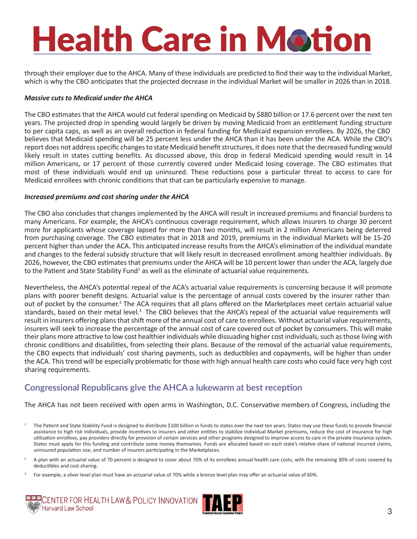through their employer due to the AHCA. Many of these individuals are predicted to find their way to the individual Market, which is why the CBO anticipates that the projected decrease in the individual Market will be smaller in 2026 than in 2018.

#### *Massive cuts to Medicaid under the AHCA*

The CBO estimates that the AHCA would cut federal spending on Medicaid by \$880 billion or 17.6 percent over the next ten years. The projected drop in spending would largely be driven by moving Medicaid from an entitlement funding structure to per capita caps, as well as an overall reduction in federal funding for Medicaid expansion enrollees. By 2026, the CBO believes that Medicaid spending will be 25 percent less under the AHCA than it has been under the ACA. While the CBO's report does not address specific changes to state Medicaid benefit structures, it does note that the decreased funding would likely result in states cutting benefits. As discussed above, this drop in federal Medicaid spending would result in 14 million Americans, or 17 percent of those currently covered under Medicaid losing coverage. The CBO estimates that most of these individuals would end up uninsured. These reductions pose a particular threat to access to care for Medicaid enrollees with chronic conditions that that can be particularly expensive to manage.

#### *Increased premiums and cost sharing under the AHCA*

The CBO also concludes that changes implemented by the AHCA will result in increased premiums and financial burdens to many Americans. For example, the AHCA's continuous coverage requirement, which allows insurers to charge 30 percent more for applicants whose coverage lapsed for more than two months, will result in 2 million Americans being deterred from purchasing coverage. The CBO estimates that in 2018 and 2019, premiums in the individual Markets will be 15-20 percent higher than under the ACA. This anticipated increase results from the AHCA's elimination of the individual mandate and changes to the federal subsidy structure that will likely result in decreased enrollment among healthier individuals. By 2026, however, the CBO estimates that premiums under the AHCA will be 10 percent lower than under the ACA, largely due to the Patient and State Stability Fund<sup>1</sup> as well as the eliminate of actuarial value requirements.

Nevertheless, the AHCA's potential repeal of the ACA's actuarial value requirements is concerning because it will promote plans with poorer benefit designs. Actuarial value is the percentage of annual costs covered by the insurer rather than out of pocket by the consumer.<sup>2</sup> The ACA requires that all plans offered on the Marketplaces meet certain actuarial value standards, based on their metal level.<sup>3</sup> The CBO believes that the AHCA's repeal of the actuarial value requirements will result in insurers offering plans that shift more of the annual cost of care to enrollees. Without actuarial value requirements, insurers will seek to increase the percentage of the annual cost of care covered out of pocket by consumers. This will make their plans more attractive to low cost healthier individuals while dissuading higher cost individuals, such as those living with chronic conditions and disabilities, from selecting their plans. Because of the removal of the actuarial value requirements, the CBO expects that individuals' cost sharing payments, such as deductibles and copayments, will be higher than under the ACA. This trend will be especially problematic for those with high annual health care costs who could face very high cost sharing requirements.

### **Congressional Republicans give the AHCA a lukewarm at best reception**

The AHCA has not been received with open arms in Washington, D.C. Conservative members of Congress, including the

<sup>3</sup> For example, a silver level plan must have an actuarial value of 70% while a bronze level plan may offer an actuarial value of 60%.





<sup>&</sup>lt;sup>1</sup> The Patient and State Stability Fund is designed to distribute \$100 billion in funds to states over the next ten years. States may use these funds to provide financial assistance to high risk individuals, provide incentives to insurers and other entities to stabilize individual Market premiums, reduce the cost of insurance for high utilization enrollees, pay providers directly for provision of certain services and other programs designed to improve access to care in the private insurance system. States must apply for this funding and contribute some money themselves. Funds are allocated based on each state's relative share of national incurred claims, uninsured population size, and number of insurers participating in the Marketplaces.

A plan with an actuarial value of 70 percent is designed to cover about 70% of its enrollees annual health care costs, with the remaining 30% of costs covered by deductibles and cost sharing.